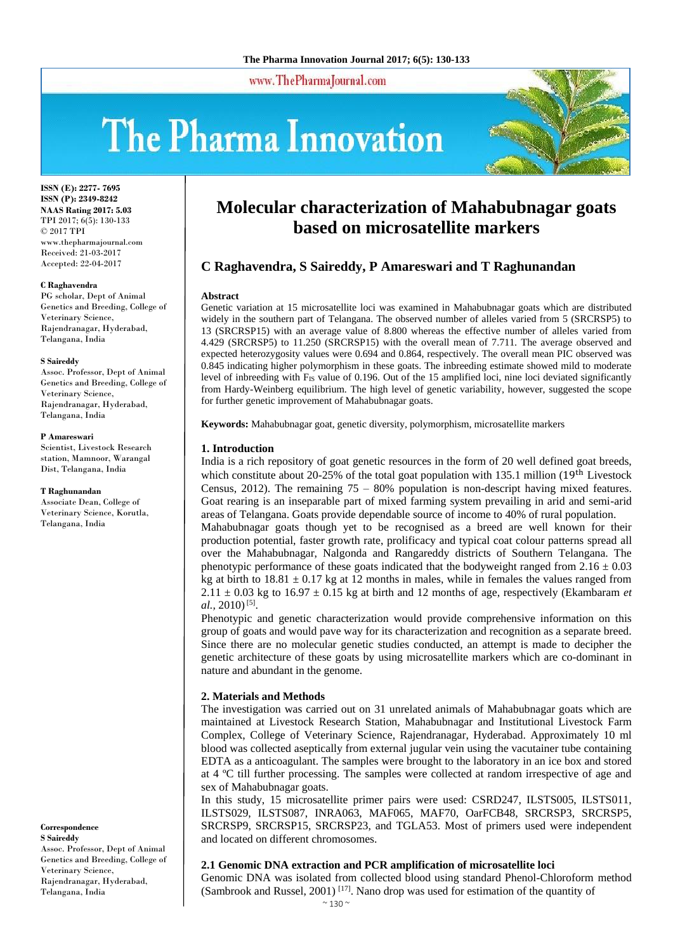**Molecular characterization of Mahabubnagar goats based on microsatellite markers**

Genetic variation at 15 microsatellite loci was examined in Mahabubnagar goats which are distributed widely in the southern part of Telangana. The observed number of alleles varied from 5 (SRCRSP5) to 13 (SRCRSP15) with an average value of 8.800 whereas the effective number of alleles varied from 4.429 (SRCRSP5) to 11.250 (SRCRSP15) with the overall mean of 7.711. The average observed and expected heterozygosity values were 0.694 and 0.864, respectively. The overall mean PIC observed was 0.845 indicating higher polymorphism in these goats. The inbreeding estimate showed mild to moderate level of inbreeding with F<sub>IS</sub> value of 0.196. Out of the 15 amplified loci, nine loci deviated significantly from Hardy-Weinberg equilibrium. The high level of genetic variability, however, suggested the scope

India is a rich repository of goat genetic resources in the form of 20 well defined goat breeds, which constitute about 20-25% of the total goat population with 135.1 million  $(19<sup>th</sup>$  Livestock Census, 2012). The remaining  $75 - 80\%$  population is non-descript having mixed features. Goat rearing is an inseparable part of mixed farming system prevailing in arid and semi-arid areas of Telangana. Goats provide dependable source of income to 40% of rural population. Mahabubnagar goats though yet to be recognised as a breed are well known for their production potential, faster growth rate, prolificacy and typical coat colour patterns spread all over the Mahabubnagar, Nalgonda and Rangareddy districts of Southern Telangana. The phenotypic performance of these goats indicated that the bodyweight ranged from  $2.16 \pm 0.03$ kg at birth to  $18.81 \pm 0.17$  kg at 12 months in males, while in females the values ranged from  $2.11 \pm 0.03$  kg to  $16.97 \pm 0.15$  kg at birth and 12 months of age, respectively (Ekambaram *et* 

**C Raghavendra, S Saireddy, P Amareswari and T Raghunandan**

**Keywords:** Mahabubnagar goat, genetic diversity, polymorphism, microsatellite markers

www.ThePharmaJournal.com

for further genetic improvement of Mahabubnagar goats.

# The Pharma Innovation

**Abstract**

**1. Introduction**

*al.,* 2010)<sup>[5]</sup>.



**ISSN (E): 2277- 7695 ISSN (P): 2349-8242 NAAS Rating 2017: 5.03** TPI 2017; 6(5): 130-133 © 2017 TPI www.thepharmajournal.com Received: 21-03-2017 Accepted: 22-04-2017

#### **C Raghavendra**

PG scholar, Dept of Animal Genetics and Breeding, College of Veterinary Science, Rajendranagar, Hyderabad, Telangana, India

#### **S Saireddy**

Assoc. Professor, Dept of Animal Genetics and Breeding, College of Veterinary Science, Rajendranagar, Hyderabad, Telangana, India

#### **P Amareswari**

Scientist, Livestock Research station, Mamnoor, Warangal Dist, Telangana, India

#### **T Raghunandan**

Associate Dean, College of Veterinary Science, Korutla, Telangana, India

**Correspondence S Saireddy**  Assoc. Professor, Dept of Animal Genetics and Breeding, College of Veterinary Science, Rajendranagar, Hyderabad,

Telangana, India

# nature and abundant in the genome. **2. Materials and Methods**

The investigation was carried out on 31 unrelated animals of Mahabubnagar goats which are maintained at Livestock Research Station, Mahabubnagar and Institutional Livestock Farm Complex, College of Veterinary Science, Rajendranagar, Hyderabad. Approximately 10 ml blood was collected aseptically from external jugular vein using the vacutainer tube containing EDTA as a anticoagulant. The samples were brought to the laboratory in an ice box and stored at 4 ºC till further processing. The samples were collected at random irrespective of age and sex of Mahabubnagar goats.

Phenotypic and genetic characterization would provide comprehensive information on this group of goats and would pave way for its characterization and recognition as a separate breed. Since there are no molecular genetic studies conducted, an attempt is made to decipher the genetic architecture of these goats by using microsatellite markers which are co-dominant in

In this study, 15 microsatellite primer pairs were used: CSRD247, ILSTS005, ILSTS011, ILSTS029, ILSTS087, INRA063, MAF065, MAF70, OarFCB48, SRCRSP3, SRCRSP5, SRCRSP9, SRCRSP15, SRCRSP23, and TGLA53. Most of primers used were independent and located on different chromosomes.

#### **2.1 Genomic DNA extraction and PCR amplification of microsatellite loci**

Genomic DNA was isolated from collected blood using standard Phenol-Chloroform method (Sambrook and Russel, 2001)<sup>[17]</sup>. Nano drop was used for estimation of the quantity of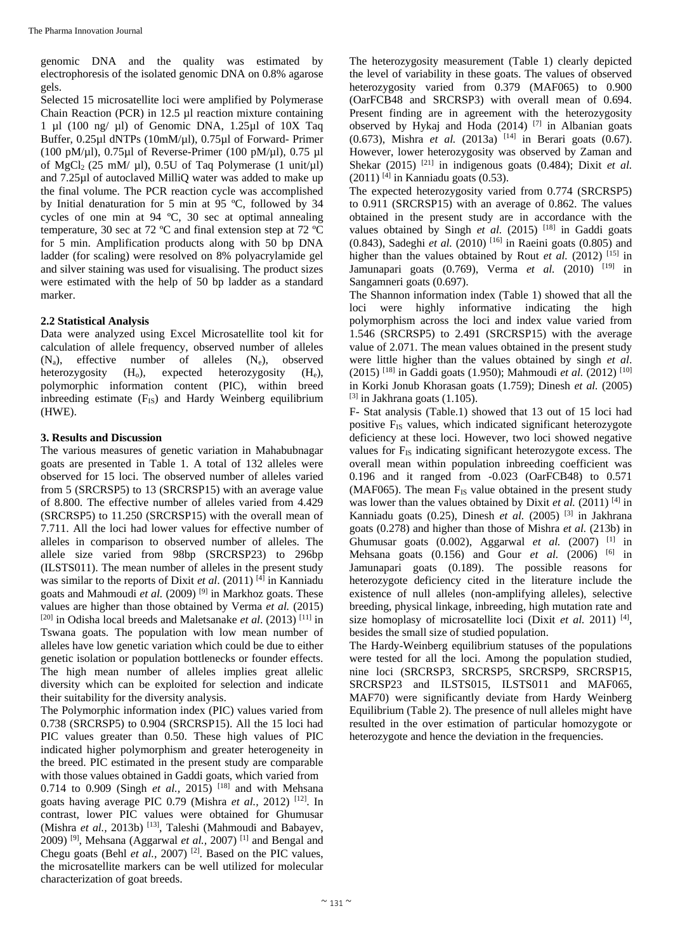genomic DNA and the quality was estimated by electrophoresis of the isolated genomic DNA on 0.8% agarose gels.

Selected 15 microsatellite loci were amplified by Polymerase Chain Reaction (PCR) in 12.5 µl reaction mixture containing 1 µl (100 ng/ µl) of Genomic DNA, 1.25µl of 10X Taq Buffer, 0.25µl dNTPs (10mM/µl), 0.75µl of Forward- Primer (100 pM/ $\mu$ l), 0.75 $\mu$ l of Reverse-Primer (100 pM/ $\mu$ l), 0.75  $\mu$ l of MgCl<sub>2</sub> (25 mM/  $\mu$ l), 0.5U of Taq Polymerase (1 unit/ $\mu$ l) and 7.25µl of autoclaved MilliQ water was added to make up the final volume. The PCR reaction cycle was accomplished by Initial denaturation for 5 min at 95 ºC, followed by 34 cycles of one min at 94 ºC, 30 sec at optimal annealing temperature, 30 sec at 72 ºC and final extension step at 72 ºC for 5 min. Amplification products along with 50 bp DNA ladder (for scaling) were resolved on 8% polyacrylamide gel and silver staining was used for visualising. The product sizes were estimated with the help of 50 bp ladder as a standard marker.

# **2.2 Statistical Analysis**

Data were analyzed using Excel Microsatellite tool kit for calculation of allele frequency, observed number of alleles  $(N_a)$ , effective number of alleles  $(N_e)$ , observed heterozygosity  $(H_o)$ , expected heterozygosity  $(H_e)$ , polymorphic information content (PIC), within breed inbreeding estimate  $(F_{IS})$  and Hardy Weinberg equilibrium (HWE).

# **3. Results and Discussion**

The various measures of genetic variation in Mahabubnagar goats are presented in Table 1. A total of 132 alleles were observed for 15 loci. The observed number of alleles varied from 5 (SRCRSP5) to 13 (SRCRSP15) with an average value of 8.800. The effective number of alleles varied from 4.429 (SRCRSP5) to 11.250 (SRCRSP15) with the overall mean of 7.711. All the loci had lower values for effective number of alleles in comparison to observed number of alleles. The allele size varied from 98bp (SRCRSP23) to 296bp (ILSTS011). The mean number of alleles in the present study was similar to the reports of Dixit *et al*. (2011) [4] in Kanniadu goats and Mahmoudi *et al.* (2009) [9] in Markhoz goats. These values are higher than those obtained by Verma *et al.* (2015) [20] in Odisha local breeds and Maletsanake *et al*. (2013) [11] in Tswana goats. The population with low mean number of alleles have low genetic variation which could be due to either genetic isolation or population bottlenecks or founder effects. The high mean number of alleles implies great allelic diversity which can be exploited for selection and indicate their suitability for the diversity analysis.

The Polymorphic information index (PIC) values varied from 0.738 (SRCRSP5) to 0.904 (SRCRSP15). All the 15 loci had PIC values greater than 0.50. These high values of PIC indicated higher polymorphism and greater heterogeneity in the breed. PIC estimated in the present study are comparable with those values obtained in Gaddi goats, which varied from 0.714 to 0.909 (Singh *et al.*, 2015)<sup>[18]</sup> and with Mehsana goats having average PIC 0.79 (Mishra *et al.,* 2012) [12]. In contrast, lower PIC values were obtained for Ghumusar (Mishra *et al., 2013b*)<sup>[13]</sup>, Taleshi (Mahmoudi and Babayev, 2009) <sup>[9]</sup>, Mehsana (Aggarwal *et al.*, 2007)<sup>[1]</sup> and Bengal and Chegu goats (Behl *et al.,* 2007) [2]. Based on the PIC values, the microsatellite markers can be well utilized for molecular characterization of goat breeds.

The heterozygosity measurement (Table 1) clearly depicted the level of variability in these goats. The values of observed heterozygosity varied from 0.379 (MAF065) to 0.900 (OarFCB48 and SRCRSP3) with overall mean of 0.694. Present finding are in agreement with the heterozygosity observed by Hykaj and Hoda (2014) <sup>[7]</sup> in Albanian goats  $(0.673)$ , Mishra *et al.*  $(2013a)$ <sup>[14]</sup> in Berari goats  $(0.67)$ . However, lower heterozygosity was observed by Zaman and Shekar  $(2015)$ <sup>[21]</sup> in indigenous goats  $(0.484)$ ; Dixit *et al.*  $(2011)$ <sup>[4]</sup> in Kanniadu goats  $(0.53)$ .

The expected heterozygosity varied from 0.774 (SRCRSP5) to 0.911 (SRCRSP15) with an average of 0.862. The values obtained in the present study are in accordance with the values obtained by Singh et al. (2015) <sup>[18]</sup> in Gaddi goats (0.843), Sadeghi *et al.* (2010) <sup>[16]</sup> in Raeini goats (0.805) and higher than the values obtained by Rout *et al.* (2012) <sup>[15]</sup> in Jamunapari goats  $(0.769)$ , Verma *et al.*  $(2010)$ <sup>[19]</sup> in Sangamneri goats (0.697).

The Shannon information index (Table 1) showed that all the loci were highly informative indicating the high polymorphism across the loci and index value varied from 1.546 (SRCRSP5) to 2.491 (SRCRSP15) with the average value of 2.071. The mean values obtained in the present study were little higher than the values obtained by singh *et al*. (2015) [18] in Gaddi goats (1.950); Mahmoudi *et al.* (2012) [10] in Korki Jonub Khorasan goats (1.759); Dinesh *et al.* (2005)  $^{[3]}$  in Jakhrana goats (1.105).

F- Stat analysis (Table.1) showed that 13 out of 15 loci had positive  $F_{IS}$  values, which indicated significant heterozygote deficiency at these loci. However, two loci showed negative values for  $F_{IS}$  indicating significant heterozygote excess. The overall mean within population inbreeding coefficient was 0.196 and it ranged from -0.023 (OarFCB48) to 0.571  $(MAF065)$ . The mean  $F_{IS}$  value obtained in the present study was lower than the values obtained by Dixit *et al.* (2011)<sup>[4]</sup> in Kanniadu goats (0.25), Dinesh *et al.* (2005) [3] in Jakhrana goats (0.278) and higher than those of Mishra *et al.* (213b) in Ghumusar goats  $(0.002)$ , Aggarwal *et al.*  $(2007)$ <sup>[1]</sup> in Mehsana goats  $(0.156)$  and Gour *et al.*  $(2006)$  <sup>[6]</sup> in Jamunapari goats (0.189). The possible reasons for heterozygote deficiency cited in the literature include the existence of null alleles (non-amplifying alleles), selective breeding, physical linkage, inbreeding, high mutation rate and size homoplasy of microsatellite loci (Dixit et al. 2011)<sup>[4]</sup>, besides the small size of studied population.

The Hardy-Weinberg equilibrium statuses of the populations were tested for all the loci. Among the population studied, nine loci (SRCRSP3, SRCRSP5, SRCRSP9, SRCRSP15, SRCRSP23 and ILSTS015, ILSTS011 and MAF065, MAF70) were significantly deviate from Hardy Weinberg Equilibrium (Table 2). The presence of null alleles might have resulted in the over estimation of particular homozygote or heterozygote and hence the deviation in the frequencies.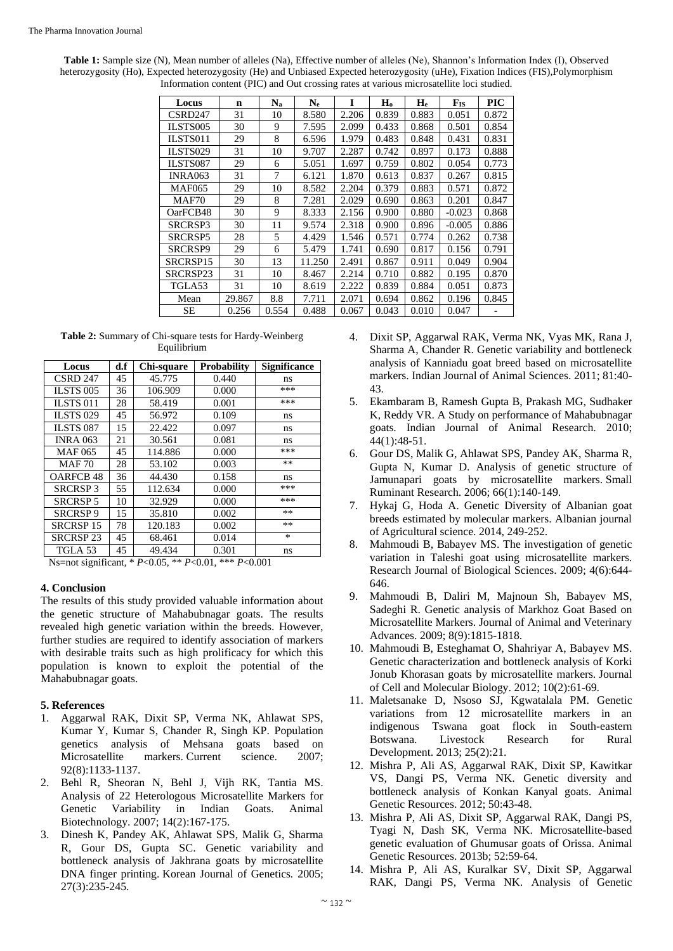**Table 1:** Sample size (N), Mean number of alleles (Na), Effective number of alleles (Ne), Shannon's Information Index (I), Observed heterozygosity (Ho), Expected heterozygosity (He) and Unbiased Expected heterozygosity (uHe), Fixation Indices (FIS),Polymorphism Information content (PIC) and Out crossing rates at various microsatellite loci studied.

| Locus               | n      | $N_a$ | $N_{e}$ | I     | H <sub>o</sub> | $H_e$ | $F_{IS}$ | PIC   |
|---------------------|--------|-------|---------|-------|----------------|-------|----------|-------|
| CSRD <sub>247</sub> | 31     | 10    | 8.580   | 2.206 | 0.839          | 0.883 | 0.051    | 0.872 |
| <b>ILSTS005</b>     | 30     | 9     | 7.595   | 2.099 | 0.433          | 0.868 | 0.501    | 0.854 |
| ILSTS011            | 29     | 8     | 6.596   | 1.979 | 0.483          | 0.848 | 0.431    | 0.831 |
| ILSTS029            | 31     | 10    | 9.707   | 2.287 | 0.742          | 0.897 | 0.173    | 0.888 |
| ILSTS087            | 29     | 6     | 5.051   | 1.697 | 0.759          | 0.802 | 0.054    | 0.773 |
| <b>INRA063</b>      | 31     | 7     | 6.121   | 1.870 | 0.613          | 0.837 | 0.267    | 0.815 |
| <b>MAF065</b>       | 29     | 10    | 8.582   | 2.204 | 0.379          | 0.883 | 0.571    | 0.872 |
| MAF70               | 29     | 8     | 7.281   | 2.029 | 0.690          | 0.863 | 0.201    | 0.847 |
| OarFCB48            | 30     | 9     | 8.333   | 2.156 | 0.900          | 0.880 | $-0.023$ | 0.868 |
| SRCRSP3             | 30     | 11    | 9.574   | 2.318 | 0.900          | 0.896 | $-0.005$ | 0.886 |
| <b>SRCRSP5</b>      | 28     | 5     | 4.429   | 1.546 | 0.571          | 0.774 | 0.262    | 0.738 |
| SRCRSP9             | 29     | 6     | 5.479   | 1.741 | 0.690          | 0.817 | 0.156    | 0.791 |
| SRCRSP15            | 30     | 13    | 11.250  | 2.491 | 0.867          | 0.911 | 0.049    | 0.904 |
| SRCRSP23            | 31     | 10    | 8.467   | 2.214 | 0.710          | 0.882 | 0.195    | 0.870 |
| TGLA53              | 31     | 10    | 8.619   | 2.222 | 0.839          | 0.884 | 0.051    | 0.873 |
| Mean                | 29.867 | 8.8   | 7.711   | 2.071 | 0.694          | 0.862 | 0.196    | 0.845 |
| SЕ                  | 0.256  | 0.554 | 0.488   | 0.067 | 0.043          | 0.010 | 0.047    |       |

**Table 2:** Summary of Chi-square tests for Hardy-Weinberg Equilibrium

| Locus            | d.f | Chi-square | <b>Probability</b> | <b>Significance</b> |
|------------------|-----|------------|--------------------|---------------------|
| <b>CSRD 247</b>  | 45  | 45.775     | 0.440              | ns                  |
| <b>ILSTS 005</b> | 36  | 106.909    | 0.000              | ***                 |
| ILSTS 011        | 28  | 58.419     | 0.001              | ***                 |
| <b>ILSTS 029</b> | 45  | 56.972     | 0.109              | ns                  |
| <b>ILSTS 087</b> | 15  | 22.422     | 0.097              | ns                  |
| <b>INRA 063</b>  | 21  | 30.561     | 0.081              | ns                  |
| <b>MAF 065</b>   | 45  | 114.886    | 0.000              | ***                 |
| <b>MAF70</b>     | 28  | 53.102     | 0.003              | **                  |
| <b>OARFCB48</b>  | 36  | 44.430     | 0.158              | ns                  |
| <b>SRCRSP3</b>   | 55  | 112.634    | 0.000              | ***                 |
| <b>SRCRSP 5</b>  | 10  | 32.929     | 0.000              | ***                 |
| <b>SRCRSP9</b>   | 15  | 35.810     | 0.002              | **                  |
| <b>SRCRSP 15</b> | 78  | 120.183    | 0.002              | **                  |
| <b>SRCRSP 23</b> | 45  | 68.461     | 0.014              | $\ast$              |
| TGLA 53          | 45  | 49.434     | 0.301              | ns                  |

Ns=not significant, \* *P*<0.05, \*\* *P*<0.01, \*\*\* *P*<0.001

### **4. Conclusion**

The results of this study provided valuable information about the genetic structure of Mahabubnagar goats. The results revealed high genetic variation within the breeds. However, further studies are required to identify association of markers with desirable traits such as high prolificacy for which this population is known to exploit the potential of the Mahabubnagar goats.

# **5. References**

- 1. Aggarwal RAK, Dixit SP, Verma NK, Ahlawat SPS, Kumar Y, Kumar S, Chander R, Singh KP. Population genetics analysis of Mehsana goats based on Microsatellite markers. Current science. 2007; 92(8):1133-1137.
- 2. Behl R, Sheoran N, Behl J, Vijh RK, Tantia MS. Analysis of 22 Heterologous Microsatellite Markers for Genetic Variability in Indian Goats. Animal Biotechnology. 2007; 14(2):167-175.
- 3. Dinesh K, Pandey AK, Ahlawat SPS, Malik G, Sharma R, Gour DS, Gupta SC. Genetic variability and bottleneck analysis of Jakhrana goats by microsatellite DNA finger printing. Korean Journal of Genetics*.* 2005; 27(3):235-245.
- 4. Dixit SP, Aggarwal RAK, Verma NK, Vyas MK, Rana J, Sharma A, Chander R. Genetic variability and bottleneck analysis of Kanniadu goat breed based on microsatellite markers. Indian Journal of Animal Sciences. 2011; 81:40- 43.
- 5. Ekambaram B, Ramesh Gupta B, Prakash MG, Sudhaker K, Reddy VR. A Study on performance of Mahabubnagar goats. Indian Journal of Animal Research. 2010; 44(1):48-51.
- 6. Gour DS, Malik G, Ahlawat SPS, Pandey AK, Sharma R, Gupta N, Kumar D. Analysis of genetic structure of Jamunapari goats by microsatellite markers. Small Ruminant Research. 2006; 66(1):140-149.
- 7. Hykaj G, Hoda A. Genetic Diversity of Albanian goat breeds estimated by molecular markers. Albanian journal of Agricultural science. 2014, 249-252.
- 8. Mahmoudi B, Babayev MS. The investigation of genetic variation in Taleshi goat using microsatellite markers. Research Journal of Biological Sciences. 2009; 4(6):644- 646.
- 9. Mahmoudi B, Daliri M, Majnoun Sh, Babayev MS, Sadeghi R. Genetic analysis of Markhoz Goat Based on Microsatellite Markers. Journal of Animal and Veterinary Advances. 2009; 8(9):1815-1818.
- 10. Mahmoudi B, Esteghamat O, Shahriyar A, Babayev MS. Genetic characterization and bottleneck analysis of Korki Jonub Khorasan goats by microsatellite markers. Journal of Cell and Molecular Biology. 2012; 10(2):61-69.
- 11. Maletsanake D, Nsoso SJ, Kgwatalala PM. Genetic variations from 12 microsatellite markers in an indigenous Tswana goat flock in South-eastern Botswana. Livestock Research for Rural Development. 2013; 25(2):21.
- 12. Mishra P, Ali AS, Aggarwal RAK, Dixit SP, Kawitkar VS, Dangi PS, Verma NK. Genetic diversity and bottleneck analysis of Konkan Kanyal goats. Animal Genetic Resources. 2012; 50:43-48.
- 13. Mishra P, Ali AS, Dixit SP, Aggarwal RAK, Dangi PS, Tyagi N, Dash SK, Verma NK. Microsatellite-based genetic evaluation of Ghumusar goats of Orissa. Animal Genetic Resources. 2013b; 52:59-64.
- 14. Mishra P, Ali AS, Kuralkar SV, Dixit SP, Aggarwal RAK, Dangi PS, Verma NK. Analysis of Genetic